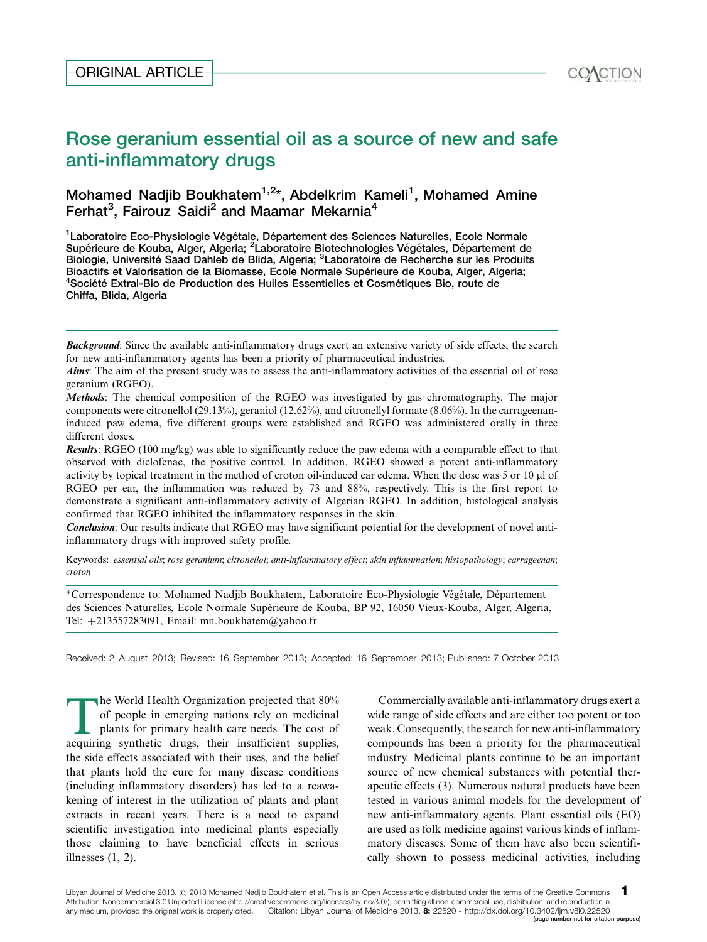# Mohamed Nadjib Boukhatem<sup>1,2\*</sup>, Abdelkrim Kameli<sup>1</sup>, Mohamed Amine Ferhat<sup>3</sup>, Fairouz Saidi<sup>2</sup> and Maamar Mekarnia<sup>4</sup>

<sup>1</sup> Laboratoire Eco-Physiologie Végétale, Département des Sciences Naturelles, Ecole Normale Supérieure de Kouba, Alger, Algeria; <sup>2</sup>Laboratoire Biotechnologies Végétales, Département de Biologie, Université Saad Dahleb de Blida, Algeria; <sup>3</sup>Laboratoire de Recherche sur les Produits Bioactifs et Valorisation de la Biomasse, Ecole Normale Supérieure de Kouba, Alger, Algeria;  $4$ Société Extral-Bio de Production des Huiles Essentielles et Cosmétiques Bio, route de Chiffa, Blida, Algeria

Methods: The chemical composition of the RGEO was investigated by gas chromatography. The major components were citronellol (29.13%), geraniol (12.62%), and citronellyl formate (8.06%). In the carrageenaninduced paw edema, five different groups were established and RGEO was administered orally in three different doses.

Results: RGEO (100 mg/kg) was able to significantly reduce the paw edema with a comparable effect to that observed with diclofenac, the positive control. In addition, RGEO showed a potent anti-inflammatory activity by topical treatment in the method of croton oil-induced ear edema. When the dose was 5 or 10 µl of RGEO per ear, the inflammation was reduced by 73 and 88%, respectively. This is the first report to demonstrate a significant anti-inflammatory activity of Algerian RGEO. In addition, histological analysis confirmed that RGEO inhibited the inflammatory responses in the skin.

Conclusion: Our results indicate that RGEO may have significant potential for the development of novel antiinflammatory drugs with improved safety profile.

Keywords: essential oils; rose geranium; citronellol; anti-inflammatory effect; skin inflammation; histopathology; carrageenan; croton

\*Correspondence to: Mohamed Nadjib Boukhatem, Laboratoire Eco-Physiologie Végétale, Département des Sciences Naturelles, Ecole Normale Supérieure de Kouba, BP 92, 16050 Vieux-Kouba, Alger, Algeria, Tel: -213557283091, Email: mn.boukhatem@yahoo.fr

Received: 2 August 2013; Revised: 16 September 2013; Accepted: 16 September 2013; Published: 7 October 2013

The World Health Organization projected that 80% of people in emerging nations rely on medicinal plants for primary health care needs. The cost of acquiring synthetic drugs, their insufficient supplies, the side effects associated with their uses, and the belief that plants hold the cure for many disease conditions (including inflammatory disorders) has led to a reawakening of interest in the utilization of plants and plant extracts in recent years. There is a need to expand scientific investigation into medicinal plants especially those claiming to have beneficial effects in serious illnesses (1, 2).

Commercially available anti-inflammatory drugs exert a wide range of side effects and are either too potent or too weak. Consequently, the search for new anti-inflammatory compounds has been a priority for the pharmaceutical industry. Medicinal plants continue to be an important source of new chemical substances with potential therapeutic effects (3). Numerous natural products have been tested in various animal models for the development of new anti-inflammatory agents. Plant essential oils (EO) are used as folk medicine against various kinds of inflammatory diseases. Some of them have also been scientifically shown to possess medicinal activities, including

Background: Since the available anti-inflammatory drugs exert an extensive variety of side effects, the search for new anti-inflammatory agents has been a priority of pharmaceutical industries.

Aims: The aim of the present study was to assess the anti-inflammatory activities of the essential oil of rose geranium (RGEO).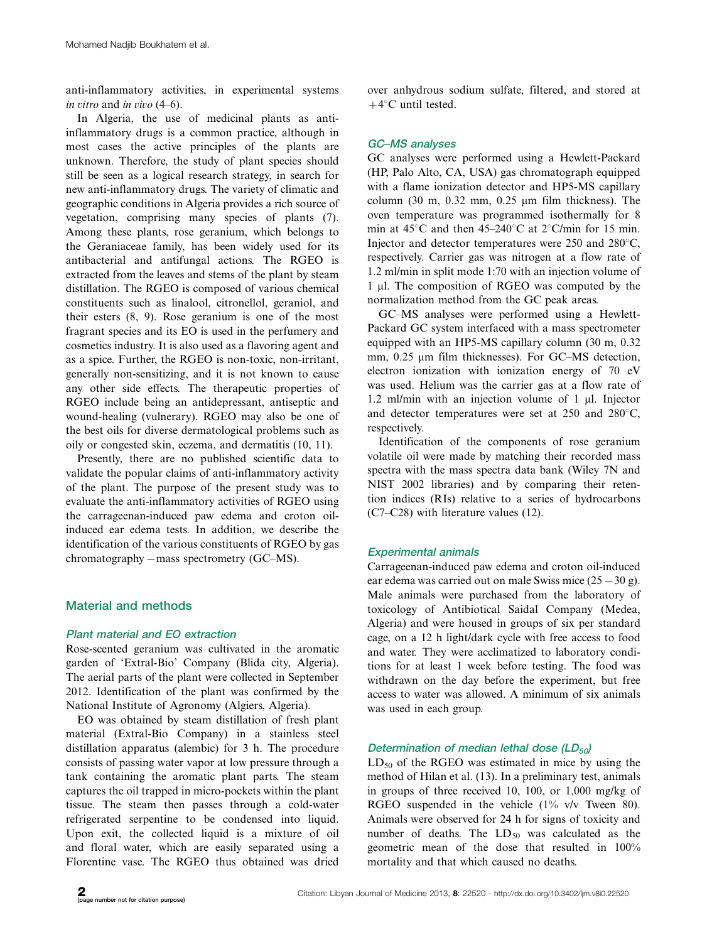anti-inflammatory activities, in experimental systems in vitro and in vivo  $(4-6)$ .

In Algeria, the use of medicinal plants as antiinflammatory drugs is a common practice, although in most cases the active principles of the plants are unknown. Therefore, the study of plant species should still be seen as a logical research strategy, in search for new anti-inflammatory drugs. The variety of climatic and geographic conditions in Algeria provides a rich source of vegetation, comprising many species of plants (7). Among these plants, rose geranium, which belongs to the Geraniaceae family, has been widely used for its antibacterial and antifungal actions. The RGEO is extracted from the leaves and stems of the plant by steam distillation. The RGEO is composed of various chemical constituents such as linalool, citronellol, geraniol, and their esters (8, 9). Rose geranium is one of the most fragrant species and its EO is used in the perfumery and cosmetics industry. It is also used as a flavoring agent and as a spice. Further, the RGEO is non-toxic, non-irritant, generally non-sensitizing, and it is not known to cause any other side effects. The therapeutic properties of RGEO include being an antidepressant, antiseptic and wound-healing (vulnerary). RGEO may also be one of the best oils for diverse dermatological problems such as oily or congested skin, eczema, and dermatitis (10, 11).

Presently, there are no published scientific data to validate the popular claims of anti-inflammatory activity of the plant. The purpose of the present study was to evaluate the anti-inflammatory activities of RGEO using the carrageenan-induced paw edema and croton oilinduced ear edema tests. In addition, we describe the identification of the various constituents of RGEO by gas chromatography  $-$  mass spectrometry (GC–MS).

# Material and methods

#### Plant material and EO extraction

Rose-scented geranium was cultivated in the aromatic garden of 'Extral-Bio' Company (Blida city, Algeria). The aerial parts of the plant were collected in September 2012. Identification of the plant was confirmed by the National Institute of Agronomy (Algiers, Algeria).

EO was obtained by steam distillation of fresh plant material (Extral-Bio Company) in a stainless steel distillation apparatus (alembic) for 3 h. The procedure consists of passing water vapor at low pressure through a tank containing the aromatic plant parts. The steam captures the oil trapped in micro-pockets within the plant tissue. The steam then passes through a cold-water refrigerated serpentine to be condensed into liquid. Upon exit, the collected liquid is a mixture of oil and floral water, which are easily separated using a Florentine vase. The RGEO thus obtained was dried

over anhydrous sodium sulfate, filtered, and stored at  $+4$ <sup>o</sup>C until tested.

## **GC-MS** analyses

GC analyses were performed using a Hewlett-Packard (HP, Palo Alto, CA, USA) gas chromatograph equipped with a flame ionization detector and HP5-MS capillary column (30 m,  $0.32$  mm,  $0.25$  µm film thickness). The oven temperature was programmed isothermally for 8 min at  $45^{\circ}$ C and then  $45-240^{\circ}$ C at  $2^{\circ}$ C/min for 15 min. Injector and detector temperatures were  $250$  and  $280^{\circ}$ C, respectively. Carrier gas was nitrogen at a flow rate of 1.2 ml/min in split mode 1:70 with an injection volume of 1 ml. The composition of RGEO was computed by the normalization method from the GC peak areas.

GC-MS analyses were performed using a Hewlett-Packard GC system interfaced with a mass spectrometer equipped with an HP5-MS capillary column (30 m, 0.32 mm,  $0.25$  µm film thicknesses). For GC-MS detection, electron ionization with ionization energy of 70 eV was used. Helium was the carrier gas at a flow rate of 1.2 ml/min with an injection volume of  $1 \mu$ . Injector and detector temperatures were set at  $250$  and  $280^{\circ}$ C, respectively.

Identification of the components of rose geranium volatile oil were made by matching their recorded mass spectra with the mass spectra data bank (Wiley 7N and NIST 2002 libraries) and by comparing their retention indices (RIs) relative to a series of hydrocarbons  $(C7-C28)$  with literature values (12).

# Experimental animals

Carrageenan-induced paw edema and croton oil-induced ear edema was carried out on male Swiss mice  $(25-30 \text{ g})$ . Male animals were purchased from the laboratory of toxicology of Antibiotical Saidal Company (Medea, Algeria) and were housed in groups of six per standard cage, on a 12 h light/dark cycle with free access to food and water. They were acclimatized to laboratory conditions for at least 1 week before testing. The food was withdrawn on the day before the experiment, but free access to water was allowed. A minimum of six animals was used in each group.

# Determination of median lethal dose  $(LD_{50})$

 $LD_{50}$  of the RGEO was estimated in mice by using the method of Hilan et al. (13). In a preliminary test, animals in groups of three received 10, 100, or 1,000 mg/kg of RGEO suspended in the vehicle (1% v/v Tween 80). Animals were observed for 24 h for signs of toxicity and number of deaths. The  $LD_{50}$  was calculated as the geometric mean of the dose that resulted in 100% mortality and that which caused no deaths.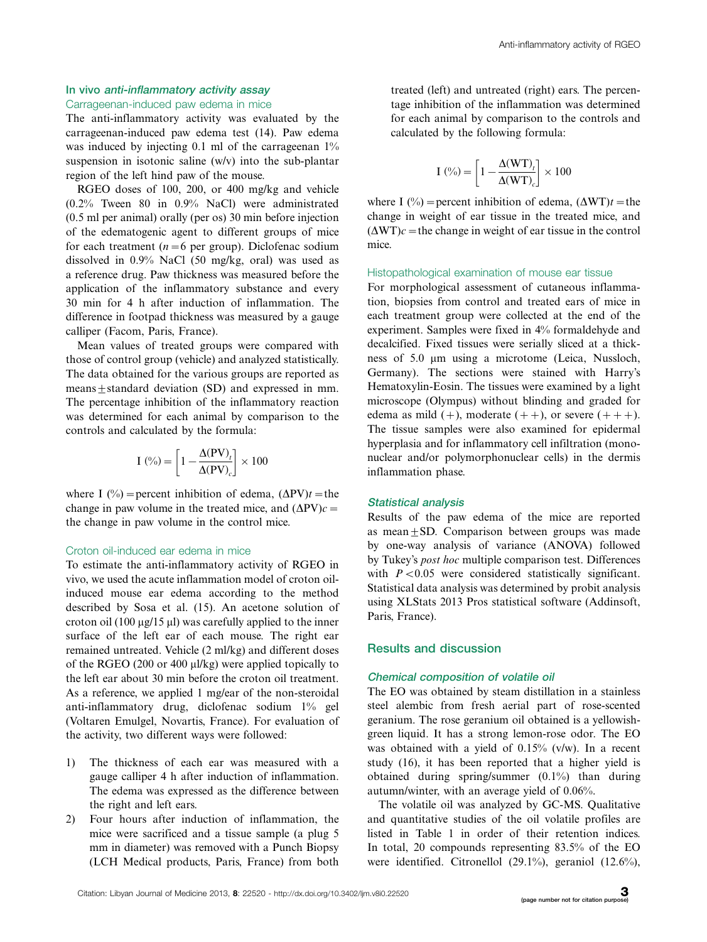# In vivo anti-inflammatory activity assay

## Carrageenan-induced paw edema in mice

The anti-inflammatory activity was evaluated by the carrageenan-induced paw edema test (14). Paw edema was induced by injecting 0.1 ml of the carrageenan  $1\%$ suspension in isotonic saline (w/v) into the sub-plantar region of the left hind paw of the mouse.

RGEO doses of 100, 200, or 400 mg/kg and vehicle (0.2% Tween 80 in 0.9% NaCl) were administrated (0.5 ml per animal) orally (per os) 30 min before injection of the edematogenic agent to different groups of mice for each treatment ( $n=6$  per group). Diclofenac sodium dissolved in 0.9% NaCl (50 mg/kg, oral) was used as a reference drug. Paw thickness was measured before the application of the inflammatory substance and every 30 min for 4 h after induction of inflammation. The difference in footpad thickness was measured by a gauge calliper (Facom, Paris, France).

Mean values of treated groups were compared with those of control group (vehicle) and analyzed statistically. The data obtained for the various groups are reported as means $\pm$ standard deviation (SD) and expressed in mm. The percentage inhibition of the inflammatory reaction was determined for each animal by comparison to the controls and calculated by the formula:

$$
I\left(\% \right) = \left[1 - \frac{\Delta(PV)_t}{\Delta(PV)_c}\right] \times 100
$$

where I (%) = percent inhibition of edema,  $(\Delta PV)t$  = the change in paw volume in the treated mice, and  $(\Delta PV)c =$ the change in paw volume in the control mice.

#### Croton oil-induced ear edema in mice

To estimate the anti-inflammatory activity of RGEO in vivo, we used the acute inflammation model of croton oilinduced mouse ear edema according to the method described by Sosa et al. (15). An acetone solution of croton oil (100  $\mu$ g/15  $\mu$ l) was carefully applied to the inner surface of the left ear of each mouse. The right ear remained untreated. Vehicle (2 ml/kg) and different doses of the RGEO (200 or 400  $\mu$ l/kg) were applied topically to the left ear about 30 min before the croton oil treatment. As a reference, we applied 1 mg/ear of the non-steroidal anti-inflammatory drug, diclofenac sodium 1% gel (Voltaren Emulgel, Novartis, France). For evaluation of the activity, two different ways were followed:

- 1) The thickness of each ear was measured with a gauge calliper 4 h after induction of inflammation. The edema was expressed as the difference between the right and left ears.
- 2) Four hours after induction of inflammation, the mice were sacrificed and a tissue sample (a plug 5 mm in diameter) was removed with a Punch Biopsy (LCH Medical products, Paris, France) from both

treated (left) and untreated (right) ears. The percentage inhibition of the inflammation was determined for each animal by comparison to the controls and calculated by the following formula:

$$
I\left(\% \right) = \left[1 - \frac{\Delta(WT)_t}{\Delta(WT)_c}\right] \times 100
$$

where I (%) = percent inhibition of edema,  $(\Delta WT)t$  = the change in weight of ear tissue in the treated mice, and  $(\Delta WT)c$  = the change in weight of ear tissue in the control mice.

#### Histopathological examination of mouse ear tissue

For morphological assessment of cutaneous inflammation, biopsies from control and treated ears of mice in each treatment group were collected at the end of the experiment. Samples were fixed in 4% formaldehyde and decalcified. Fixed tissues were serially sliced at a thickness of 5.0  $\mu$ m using a microtome (Leica, Nussloch, Germany). The sections were stained with Harry's Hematoxylin-Eosin. The tissues were examined by a light microscope (Olympus) without blinding and graded for edema as mild  $(+)$ , moderate  $(++)$ , or severe  $(++)$ . The tissue samples were also examined for epidermal hyperplasia and for inflammatory cell infiltration (mononuclear and/or polymorphonuclear cells) in the dermis inflammation phase.

#### Statistical analysis

Results of the paw edema of the mice are reported as mean $\pm$ SD. Comparison between groups was made by one-way analysis of variance (ANOVA) followed by Tukey's post hoc multiple comparison test. Differences with  $P < 0.05$  were considered statistically significant. Statistical data analysis was determined by probit analysis using XLStats 2013 Pros statistical software (Addinsoft, Paris, France).

#### Results and discussion

#### Chemical composition of volatile oil

The EO was obtained by steam distillation in a stainless steel alembic from fresh aerial part of rose-scented geranium. The rose geranium oil obtained is a yellowishgreen liquid. It has a strong lemon-rose odor. The EO was obtained with a yield of 0.15% (v/w). In a recent study (16), it has been reported that a higher yield is obtained during spring/summer (0.1%) than during autumn/winter, with an average yield of 0.06%.

The volatile oil was analyzed by GC-MS. Qualitative and quantitative studies of the oil volatile profiles are listed in Table 1 in order of their retention indices. In total, 20 compounds representing 83.5% of the EO were identified. Citronellol (29.1%), geraniol (12.6%),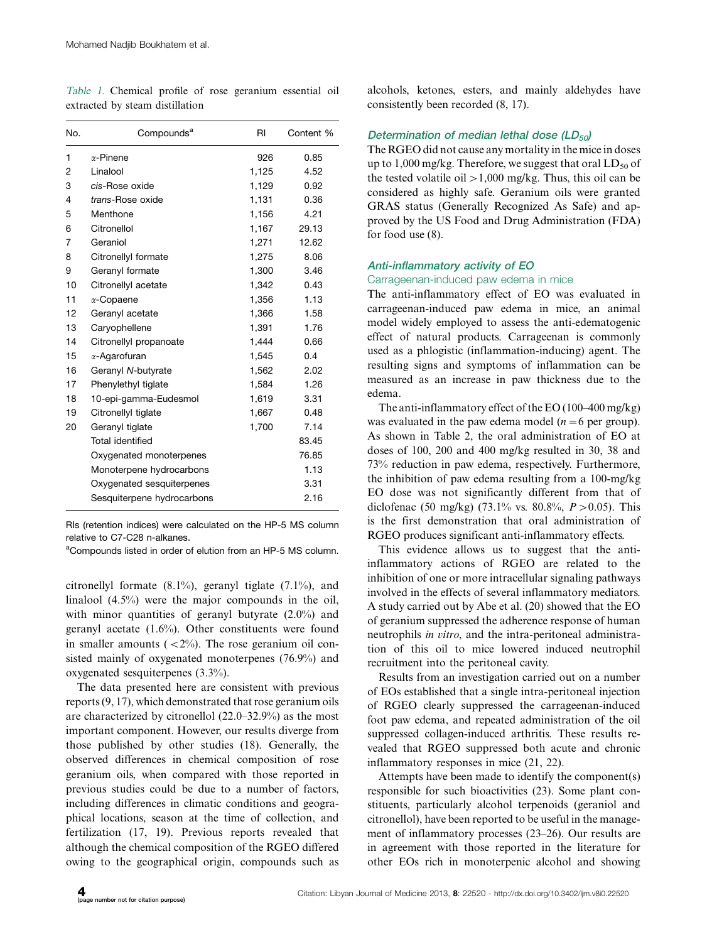Table 1. Chemical profile of rose geranium essential oil extracted by steam distillation

| No. | Compounds <sup>a</sup>     | RI    | Content % |
|-----|----------------------------|-------|-----------|
| 1   | $\alpha$ -Pinene           | 926   | 0.85      |
| 2   | Linalool                   | 1,125 | 4.52      |
| 3   | cis-Rose oxide             | 1,129 | 0.92      |
| 4   | trans-Rose oxide           | 1,131 | 0.36      |
| 5   | Menthone                   | 1,156 | 4.21      |
| 6   | Citronellol                | 1,167 | 29.13     |
| 7   | Geraniol                   | 1,271 | 12.62     |
| 8   | Citronellyl formate        | 1,275 | 8.06      |
| 9   | Geranyl formate            | 1,300 | 3.46      |
| 10  | Citronellyl acetate        | 1,342 | 0.43      |
| 11  | $\alpha$ -Copaene          | 1,356 | 1.13      |
| 12  | Geranyl acetate            | 1,366 | 1.58      |
| 13  | Caryophellene              | 1,391 | 1.76      |
| 14  | Citronellyl propanoate     | 1,444 | 0.66      |
| 15  | $\alpha$ -Aqarofuran       | 1,545 | 0.4       |
| 16  | Geranyl N-butyrate         | 1,562 | 2.02      |
| 17  | Phenylethyl tiglate        | 1,584 | 1.26      |
| 18  | 10-epi-gamma-Eudesmol      | 1,619 | 3.31      |
| 19  | Citronellyl tiglate        | 1,667 | 0.48      |
| 20  | Geranyl tiglate            | 1,700 | 7.14      |
|     | Total identified           |       | 83.45     |
|     | Oxygenated monoterpenes    |       | 76.85     |
|     | Monoterpene hydrocarbons   |       | 1.13      |
|     | Oxygenated sesquiterpenes  |       | 3.31      |
|     | Sesquiterpene hydrocarbons |       | 2.16      |

RIs (retention indices) were calculated on the HP-5 MS column relative to C7-C28 n-alkanes.

<sup>a</sup>Compounds listed in order of elution from an HP-5 MS column.

citronellyl formate (8.1%), geranyl tiglate (7.1%), and linalool (4.5%) were the major compounds in the oil, with minor quantities of geranyl butyrate (2.0%) and geranyl acetate (1.6%). Other constituents were found in smaller amounts  $( $2\%$ ). The rose geranium oil con$ sisted mainly of oxygenated monoterpenes (76.9%) and oxygenated sesquiterpenes (3.3%).

The data presented here are consistent with previous reports (9, 17), which demonstrated that rose geranium oils are characterized by citronellol  $(22.0-32.9%)$  as the most important component. However, our results diverge from those published by other studies (18). Generally, the observed differences in chemical composition of rose geranium oils, when compared with those reported in previous studies could be due to a number of factors, including differences in climatic conditions and geographical locations, season at the time of collection, and fertilization (17, 19). Previous reports revealed that although the chemical composition of the RGEO differed owing to the geographical origin, compounds such as

alcohols, ketones, esters, and mainly aldehydes have consistently been recorded (8, 17).

# Determination of median lethal dose  $(LD_{50})$

The RGEO did not cause any mortality in the mice in doses up to 1,000 mg/kg. Therefore, we suggest that oral  $LD_{50}$  of the tested volatile oil  $>1,000$  mg/kg. Thus, this oil can be considered as highly safe. Geranium oils were granted GRAS status (Generally Recognized As Safe) and approved by the US Food and Drug Administration (FDA) for food use (8).

#### Anti-inflammatory activity of EO

#### Carrageenan-induced paw edema in mice

The anti-inflammatory effect of EO was evaluated in carrageenan-induced paw edema in mice, an animal model widely employed to assess the anti-edematogenic effect of natural products. Carrageenan is commonly used as a phlogistic (inflammation-inducing) agent. The resulting signs and symptoms of inflammation can be measured as an increase in paw thickness due to the edema.

The anti-inflammatory effect of the EO (100–400 mg/kg) was evaluated in the paw edema model ( $n=6$  per group). As shown in Table 2, the oral administration of EO at doses of 100, 200 and 400 mg/kg resulted in 30, 38 and 73% reduction in paw edema, respectively. Furthermore, the inhibition of paw edema resulting from a 100-mg/kg EO dose was not significantly different from that of diclofenac (50 mg/kg) (73.1% vs. 80.8%,  $P > 0.05$ ). This is the first demonstration that oral administration of RGEO produces significant anti-inflammatory effects.

This evidence allows us to suggest that the antiinflammatory actions of RGEO are related to the inhibition of one or more intracellular signaling pathways involved in the effects of several inflammatory mediators. A study carried out by Abe et al. (20) showed that the EO of geranium suppressed the adherence response of human neutrophils in vitro, and the intra-peritoneal administration of this oil to mice lowered induced neutrophil recruitment into the peritoneal cavity.

Results from an investigation carried out on a number of EOs established that a single intra-peritoneal injection of RGEO clearly suppressed the carrageenan-induced foot paw edema, and repeated administration of the oil suppressed collagen-induced arthritis. These results revealed that RGEO suppressed both acute and chronic inflammatory responses in mice (21, 22).

Attempts have been made to identify the component(s) responsible for such bioactivities (23). Some plant constituents, particularly alcohol terpenoids (geraniol and citronellol), have been reported to be useful in the management of inflammatory processes  $(23-26)$ . Our results are in agreement with those reported in the literature for other EOs rich in monoterpenic alcohol and showing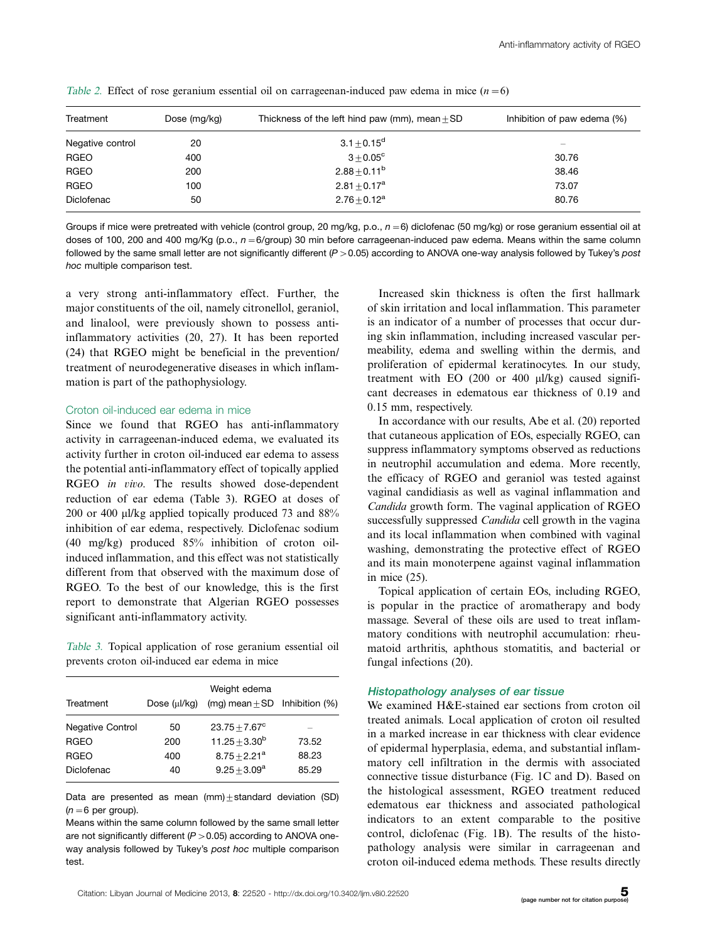| Treatment        | Dose (mg/kg) | Thickness of the left hind paw (mm), mean $\pm$ SD | Inhibition of paw edema (%) |
|------------------|--------------|----------------------------------------------------|-----------------------------|
| Negative control | 20           | $3.1 \pm 0.15^d$                                   | -                           |
| RGEO             | 400          | $3 + 0.05^{\circ}$                                 | 30.76                       |
| <b>RGEO</b>      | 200          | $2.88 \pm 0.11^{\rm b}$                            | 38.46                       |
| RGEO             | 100          | $2.81 + 0.17^a$                                    | 73.07                       |
| Diclofenac       | 50           | $2.76 + 0.12^a$                                    | 80.76                       |

Table 2. Effect of rose geranium essential oil on carrageenan-induced paw edema in mice  $(n=6)$ 

Groups if mice were pretreated with vehicle (control group, 20 mg/kg, p.o.,  $n=6$ ) diclofenac (50 mg/kg) or rose geranium essential oil at doses of 100, 200 and 400 mg/Kg (p.o.,  $n=6$ /group) 30 min before carrageenan-induced paw edema. Means within the same column followed by the same small letter are not significantly different (P > 0.05) according to ANOVA one-way analysis followed by Tukey's *post* hoc multiple comparison test.

a very strong anti-inflammatory effect. Further, the major constituents of the oil, namely citronellol, geraniol, and linalool, were previously shown to possess antiinflammatory activities (20, 27). It has been reported (24) that RGEO might be beneficial in the prevention/ treatment of neurodegenerative diseases in which inflammation is part of the pathophysiology.

#### Croton oil-induced ear edema in mice

Since we found that RGEO has anti-inflammatory activity in carrageenan-induced edema, we evaluated its activity further in croton oil-induced ear edema to assess the potential anti-inflammatory effect of topically applied RGEO in vivo. The results showed dose-dependent reduction of ear edema (Table 3). RGEO at doses of 200 or 400  $\mu$ l/kg applied topically produced 73 and 88% inhibition of ear edema, respectively. Diclofenac sodium (40 mg/kg) produced 85% inhibition of croton oilinduced inflammation, and this effect was not statistically different from that observed with the maximum dose of RGEO. To the best of our knowledge, this is the first report to demonstrate that Algerian RGEO possesses significant anti-inflammatory activity.

Table 3. Topical application of rose geranium essential oil prevents croton oil-induced ear edema in mice

| Treatment               | Dose (µl/kg) | Weight edema<br>(mg) mean $\pm$ SD Inhibition (%) |       |
|-------------------------|--------------|---------------------------------------------------|-------|
| <b>Negative Control</b> | 50           | $23.75 + 7.67^{\circ}$                            |       |
| <b>RGEO</b>             | 200          | $11.25 + 3.30^b$                                  | 73.52 |
| <b>RGEO</b>             | 400          | $8.75 + 2.21^a$                                   | 88.23 |
| Diclofenac              | 40           | $9.25 + 3.09^a$                                   | 85.29 |

Data are presented as mean  $(mm) \pm standard$  deviation (SD)  $(n=6$  per group).

Means within the same column followed by the same small letter are not significantly different (P  $>\!0.05$ ) according to ANOVA oneway analysis followed by Tukey's post hoc multiple comparison test.

Increased skin thickness is often the first hallmark of skin irritation and local inflammation. This parameter is an indicator of a number of processes that occur during skin inflammation, including increased vascular permeability, edema and swelling within the dermis, and proliferation of epidermal keratinocytes. In our study, treatment with EO  $(200 \text{ or } 400 \text{ }\mu\text{/kg})$  caused significant decreases in edematous ear thickness of 0.19 and 0.15 mm, respectively.

In accordance with our results, Abe et al. (20) reported that cutaneous application of EOs, especially RGEO, can suppress inflammatory symptoms observed as reductions in neutrophil accumulation and edema. More recently, the efficacy of RGEO and geraniol was tested against vaginal candidiasis as well as vaginal inflammation and Candida growth form. The vaginal application of RGEO successfully suppressed *Candida* cell growth in the vagina and its local inflammation when combined with vaginal washing, demonstrating the protective effect of RGEO and its main monoterpene against vaginal inflammation in mice (25).

Topical application of certain EOs, including RGEO, is popular in the practice of aromatherapy and body massage. Several of these oils are used to treat inflammatory conditions with neutrophil accumulation: rheumatoid arthritis, aphthous stomatitis, and bacterial or fungal infections (20).

#### Histopathology analyses of ear tissue

We examined H&E-stained ear sections from croton oil treated animals. Local application of croton oil resulted in a marked increase in ear thickness with clear evidence of epidermal hyperplasia, edema, and substantial inflammatory cell infiltration in the dermis with associated connective tissue disturbance (Fig. 1C and D). Based on the histological assessment, RGEO treatment reduced edematous ear thickness and associated pathological indicators to an extent comparable to the positive control, diclofenac (Fig. 1B). The results of the histopathology analysis were similar in carrageenan and croton oil-induced edema methods. These results directly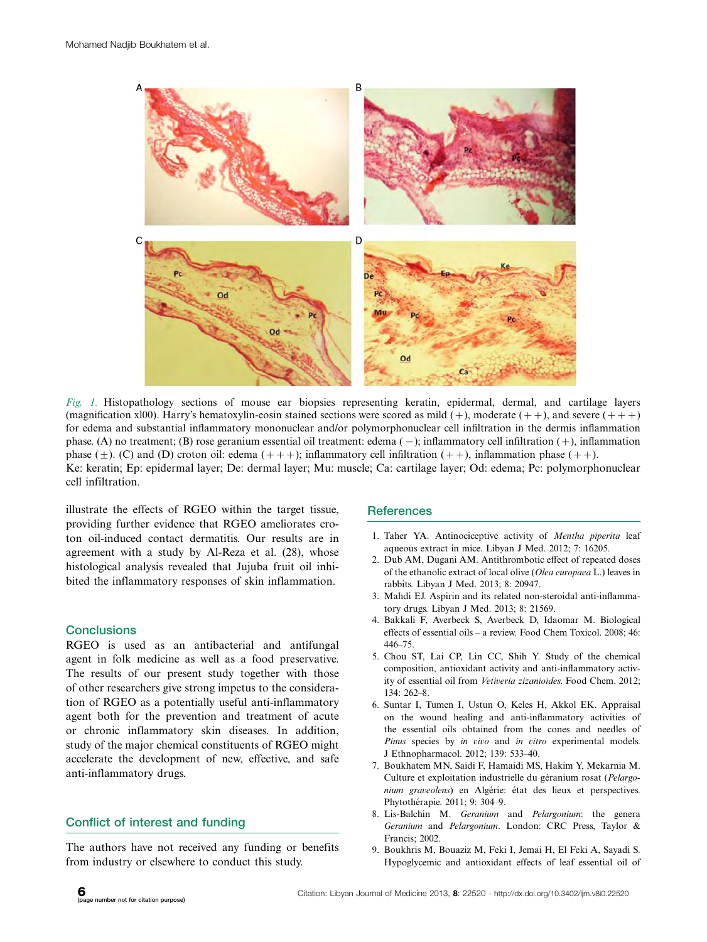

Fig. 1. Histopathology sections of mouse ear biopsies representing keratin, epidermal, dermal, and cartilage layers (magnification x100). Harry's hematoxylin-eosin stained sections were scored as mild  $(+)$ , moderate  $(++)$ , and severe  $(++)$ for edema and substantial inflammatory mononuclear and/or polymorphonuclear cell infiltration in the dermis inflammation phase. (A) no treatment; (B) rose geranium essential oil treatment: edema (-); inflammatory cell infiltration (+), inflammation phase  $(\pm)$ . (C) and (D) croton oil: edema  $(++)$ ; inflammatory cell infiltration  $(++)$ , inflammation phase  $(++)$ . Ke: keratin; Ep: epidermal layer; De: dermal layer; Mu: muscle; Ca: cartilage layer; Od: edema; Pc: polymorphonuclear cell infiltration.

illustrate the effects of RGEO within the target tissue, providing further evidence that RGEO ameliorates croton oil-induced contact dermatitis. Our results are in agreement with a study by Al-Reza et al. (28), whose histological analysis revealed that Jujuba fruit oil inhibited the inflammatory responses of skin inflammation.

#### **Conclusions**

RGEO is used as an antibacterial and antifungal agent in folk medicine as well as a food preservative. The results of our present study together with those of other researchers give strong impetus to the consideration of RGEO as a potentially useful anti-inflammatory agent both for the prevention and treatment of acute or chronic inflammatory skin diseases. In addition, study of the major chemical constituents of RGEO might accelerate the development of new, effective, and safe anti-inflammatory drugs.

# Conflict of interest and funding

The authors have not received any funding or benefits from industry or elsewhere to conduct this study.

# **References**

- 1. Taher YA. Antinociceptive activity of Mentha piperita leaf aqueous extract in mice. Libyan J Med. 2012; 7: 16205.
- 2. Dub AM, Dugani AM. Antithrombotic effect of repeated doses of the ethanolic extract of local olive (Olea europaea L.) leaves in rabbits. Libyan J Med. 2013; 8: 20947.
- 3. Mahdi EJ. Aspirin and its related non-steroidal anti-inflammatory drugs. Libyan J Med. 2013; 8: 21569.
- 4. Bakkali F, Averbeck S, Averbeck D, Idaomar M. Biological effects of essential oils - a review. Food Chem Toxicol. 2008; 46: 44675.
- 5. Chou ST, Lai CP, Lin CC, Shih Y. Study of the chemical composition, antioxidant activity and anti-inflammatory activity of essential oil from Vetiveria zizanioides. Food Chem. 2012; 134: 262-8.
- 6. Suntar I, Tumen I, Ustun O, Keles H, Akkol EK. Appraisal on the wound healing and anti-inflammatory activities of the essential oils obtained from the cones and needles of Pinus species by in vivo and in vitro experimental models. J Ethnopharmacol. 2012; 139: 53340.
- 7. Boukhatem MN, Saidi F, Hamaidi MS, Hakim Y, Mekarnia M. Culture et exploitation industrielle du géranium rosat (Pelargonium graveolens) en Algérie: état des lieux et perspectives. Phytothérapie. 2011; 9: 304-9.
- 8. Lis-Balchin M. Geranium and Pelargonium: the genera Geranium and Pelargonium. London: CRC Press, Taylor & Francis; 2002.
- 9. Boukhris M, Bouaziz M, Feki I, Jemai H, El Feki A, Sayadi S. Hypoglycemic and antioxidant effects of leaf essential oil of